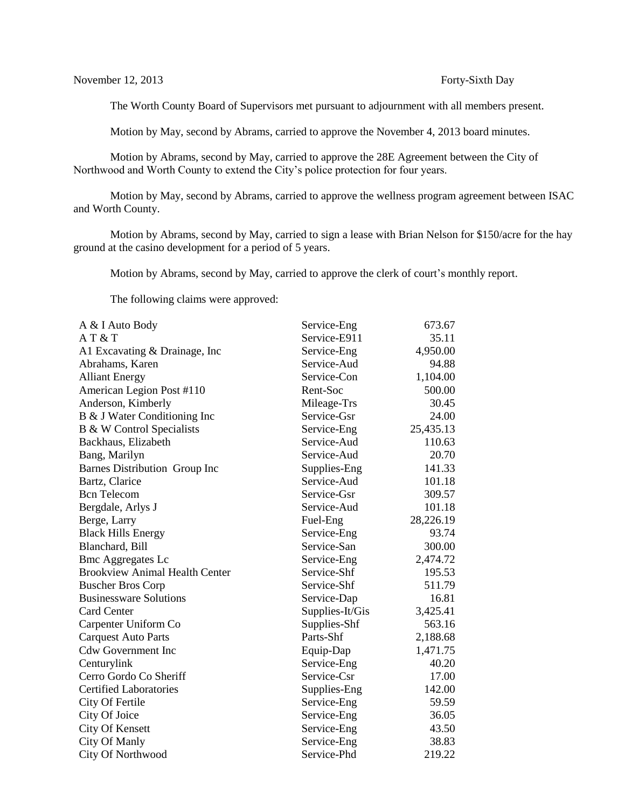The Worth County Board of Supervisors met pursuant to adjournment with all members present.

Motion by May, second by Abrams, carried to approve the November 4, 2013 board minutes.

Motion by Abrams, second by May, carried to approve the 28E Agreement between the City of Northwood and Worth County to extend the City's police protection for four years.

Motion by May, second by Abrams, carried to approve the wellness program agreement between ISAC and Worth County.

Motion by Abrams, second by May, carried to sign a lease with Brian Nelson for \$150/acre for the hay ground at the casino development for a period of 5 years.

Motion by Abrams, second by May, carried to approve the clerk of court's monthly report.

The following claims were approved:

| A & I Auto Body                       | Service-Eng     | 673.67    |
|---------------------------------------|-----------------|-----------|
| AT & T                                | Service-E911    | 35.11     |
| A1 Excavating & Drainage, Inc.        | Service-Eng     | 4,950.00  |
| Abrahams, Karen                       | Service-Aud     | 94.88     |
| <b>Alliant Energy</b>                 | Service-Con     | 1,104.00  |
| American Legion Post #110             | Rent-Soc        | 500.00    |
| Anderson, Kimberly                    | Mileage-Trs     | 30.45     |
| B & J Water Conditioning Inc          | Service-Gsr     | 24.00     |
| B & W Control Specialists             | Service-Eng     | 25,435.13 |
| Backhaus, Elizabeth                   | Service-Aud     | 110.63    |
| Bang, Marilyn                         | Service-Aud     | 20.70     |
| Barnes Distribution Group Inc         | Supplies-Eng    | 141.33    |
| Bartz, Clarice                        | Service-Aud     | 101.18    |
| <b>Bcn</b> Telecom                    | Service-Gsr     | 309.57    |
| Bergdale, Arlys J                     | Service-Aud     | 101.18    |
| Berge, Larry                          | Fuel-Eng        | 28,226.19 |
| <b>Black Hills Energy</b>             | Service-Eng     | 93.74     |
| Blanchard, Bill                       | Service-San     | 300.00    |
| <b>Bmc Aggregates Lc</b>              | Service-Eng     | 2,474.72  |
| <b>Brookview Animal Health Center</b> | Service-Shf     | 195.53    |
| <b>Buscher Bros Corp</b>              | Service-Shf     | 511.79    |
| <b>Businessware Solutions</b>         | Service-Dap     | 16.81     |
| <b>Card Center</b>                    | Supplies-It/Gis | 3,425.41  |
| Carpenter Uniform Co                  | Supplies-Shf    | 563.16    |
| <b>Carquest Auto Parts</b>            | Parts-Shf       | 2,188.68  |
| <b>Cdw Government Inc</b>             | Equip-Dap       | 1,471.75  |
| Centurylink                           | Service-Eng     | 40.20     |
| Cerro Gordo Co Sheriff                | Service-Csr     | 17.00     |
| <b>Certified Laboratories</b>         | Supplies-Eng    | 142.00    |
| City Of Fertile                       | Service-Eng     | 59.59     |
| City Of Joice                         | Service-Eng     | 36.05     |
| <b>City Of Kensett</b>                | Service-Eng     | 43.50     |
| City Of Manly                         | Service-Eng     | 38.83     |
| City Of Northwood                     | Service-Phd     | 219.22    |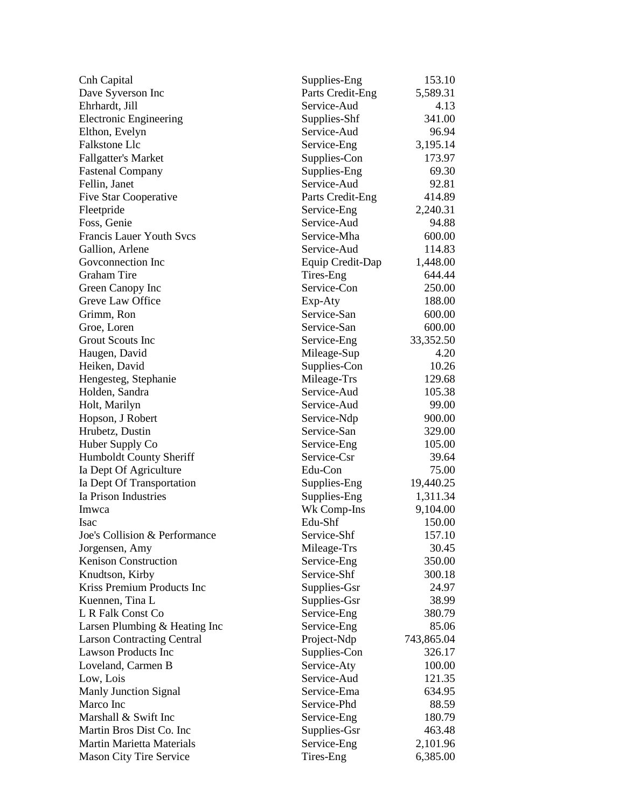| Cnh Capital                                              | Supplies-Eng     | 153.10     |
|----------------------------------------------------------|------------------|------------|
| Dave Syverson Inc                                        | Parts Credit-Eng | 5,589.31   |
| Ehrhardt, Jill                                           | Service-Aud      | 4.13       |
| <b>Electronic Engineering</b>                            | Supplies-Shf     | 341.00     |
| Elthon, Evelyn                                           | Service-Aud      | 96.94      |
| Falkstone Llc                                            | Service-Eng      | 3,195.14   |
| <b>Fallgatter's Market</b>                               | Supplies-Con     | 173.97     |
| <b>Fastenal Company</b>                                  | Supplies-Eng     | 69.30      |
| Fellin, Janet                                            | Service-Aud      | 92.81      |
| <b>Five Star Cooperative</b>                             | Parts Credit-Eng | 414.89     |
| Fleetpride                                               | Service-Eng      | 2,240.31   |
| Foss, Genie                                              | Service-Aud      | 94.88      |
| <b>Francis Lauer Youth Svcs</b>                          | Service-Mha      | 600.00     |
| Gallion, Arlene                                          | Service-Aud      | 114.83     |
| Govconnection Inc                                        | Equip Credit-Dap | 1,448.00   |
| <b>Graham Tire</b>                                       | Tires-Eng        | 644.44     |
| Green Canopy Inc                                         | Service-Con      | 250.00     |
| Greve Law Office                                         | Exp-Aty          | 188.00     |
| Grimm, Ron                                               | Service-San      | 600.00     |
| Groe, Loren                                              | Service-San      | 600.00     |
| Grout Scouts Inc                                         | Service-Eng      | 33,352.50  |
| Haugen, David                                            | Mileage-Sup      | 4.20       |
| Heiken, David                                            | Supplies-Con     | 10.26      |
| Hengesteg, Stephanie                                     | Mileage-Trs      | 129.68     |
| Holden, Sandra                                           | Service-Aud      | 105.38     |
| Holt, Marilyn                                            | Service-Aud      | 99.00      |
|                                                          | Service-Ndp      | 900.00     |
| Hopson, J Robert<br>Hrubetz, Dustin                      | Service-San      | 329.00     |
|                                                          | Service-Eng      | 105.00     |
| Huber Supply Co                                          | Service-Csr      | 39.64      |
| Humboldt County Sheriff                                  | Edu-Con          |            |
| Ia Dept Of Agriculture                                   |                  | 75.00      |
| Ia Dept Of Transportation<br><b>Ia Prison Industries</b> | Supplies-Eng     | 19,440.25  |
|                                                          | Supplies-Eng     | 1,311.34   |
| Imwca                                                    | Wk Comp-Ins      | 9,104.00   |
| Isac                                                     | Edu-Shf          | 150.00     |
| Joe's Collision & Performance                            | Service-Shf      | 157.10     |
| Jorgensen, Amy                                           | Mileage-Trs      | 30.45      |
| Kenison Construction                                     | Service-Eng      | 350.00     |
| Knudtson, Kirby                                          | Service-Shf      | 300.18     |
| Kriss Premium Products Inc                               | Supplies-Gsr     | 24.97      |
| Kuennen, Tina L                                          | Supplies-Gsr     | 38.99      |
| L R Falk Const Co                                        | Service-Eng      | 380.79     |
| Larsen Plumbing & Heating Inc                            | Service-Eng      | 85.06      |
| <b>Larson Contracting Central</b>                        | Project-Ndp      | 743,865.04 |
| <b>Lawson Products Inc</b>                               | Supplies-Con     | 326.17     |
| Loveland, Carmen B                                       | Service-Aty      | 100.00     |
| Low, Lois                                                | Service-Aud      | 121.35     |
| <b>Manly Junction Signal</b>                             | Service-Ema      | 634.95     |
| Marco Inc                                                | Service-Phd      | 88.59      |
| Marshall & Swift Inc                                     | Service-Eng      | 180.79     |
| Martin Bros Dist Co. Inc                                 | Supplies-Gsr     | 463.48     |
| <b>Martin Marietta Materials</b>                         | Service-Eng      | 2,101.96   |
| Mason City Tire Service                                  | Tires-Eng        | 6,385.00   |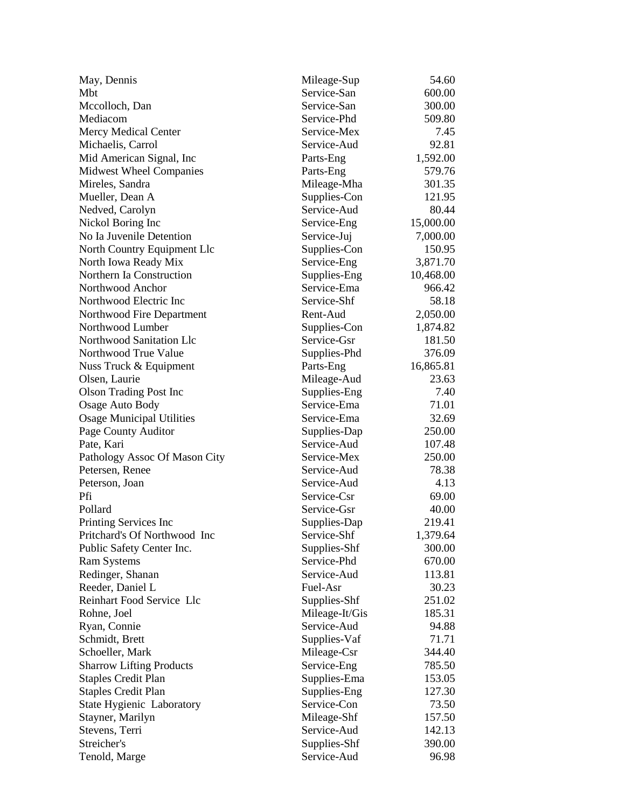| May, Dennis                                             | Mileage-Sup                | 54.60     |
|---------------------------------------------------------|----------------------------|-----------|
| Mbt                                                     | Service-San                | 600.00    |
| Mccolloch, Dan                                          | Service-San                | 300.00    |
| Mediacom                                                | Service-Phd                | 509.80    |
| <b>Mercy Medical Center</b>                             | Service-Mex                | 7.45      |
| Michaelis, Carrol                                       | Service-Aud                | 92.81     |
| Mid American Signal, Inc                                | Parts-Eng                  | 1,592.00  |
| <b>Midwest Wheel Companies</b>                          | Parts-Eng                  | 579.76    |
| Mireles, Sandra                                         | Mileage-Mha                | 301.35    |
| Mueller, Dean A                                         | Supplies-Con               | 121.95    |
| Nedved, Carolyn                                         | Service-Aud                | 80.44     |
| Nickol Boring Inc                                       | Service-Eng                | 15,000.00 |
| No Ia Juvenile Detention                                | Service-Juj                | 7,000.00  |
| North Country Equipment Llc                             | Supplies-Con               | 150.95    |
| North Iowa Ready Mix                                    | Service-Eng                | 3,871.70  |
| Northern Ia Construction                                | Supplies-Eng               | 10,468.00 |
| Northwood Anchor                                        | Service-Ema                | 966.42    |
| Northwood Electric Inc                                  | Service-Shf                | 58.18     |
| Northwood Fire Department                               | Rent-Aud                   | 2,050.00  |
| Northwood Lumber                                        | Supplies-Con               | 1,874.82  |
| Northwood Sanitation Llc                                | Service-Gsr                | 181.50    |
| Northwood True Value                                    | Supplies-Phd               | 376.09    |
| Nuss Truck & Equipment                                  | Parts-Eng                  | 16,865.81 |
| Olsen, Laurie                                           | Mileage-Aud                | 23.63     |
| <b>Olson Trading Post Inc</b>                           | Supplies-Eng               | 7.40      |
| <b>Osage Auto Body</b>                                  | Service-Ema                | 71.01     |
| <b>Osage Municipal Utilities</b>                        | Service-Ema                | 32.69     |
| Page County Auditor                                     | Supplies-Dap               | 250.00    |
| Pate, Kari                                              | Service-Aud                | 107.48    |
| Pathology Assoc Of Mason City                           | Service-Mex                | 250.00    |
| Petersen, Renee                                         | Service-Aud                | 78.38     |
| Peterson, Joan                                          | Service-Aud                | 4.13      |
| Pfi                                                     | Service-Csr                | 69.00     |
| Pollard                                                 | Service-Gsr                | 40.00     |
| Printing Services Inc                                   | Supplies-Dap               | 219.41    |
| Pritchard's Of Northwood Inc                            | Service-Shf                | 1,379.64  |
| Public Safety Center Inc.                               | Supplies-Shf               | 300.00    |
| <b>Ram Systems</b>                                      | Service-Phd                | 670.00    |
| Redinger, Shanan                                        | Service-Aud                | 113.81    |
| Reeder, Daniel L                                        | Fuel-Asr                   | 30.23     |
| Reinhart Food Service Llc                               | Supplies-Shf               | 251.02    |
| Rohne, Joel                                             | Mileage-It/Gis             | 185.31    |
| Ryan, Connie                                            | Service-Aud                | 94.88     |
| Schmidt, Brett                                          | Supplies-Vaf               | 71.71     |
| Schoeller, Mark                                         | Mileage-Csr                | 344.40    |
| <b>Sharrow Lifting Products</b>                         | Service-Eng                | 785.50    |
| <b>Staples Credit Plan</b>                              | Supplies-Ema               | 153.05    |
|                                                         | Supplies-Eng               | 127.30    |
| <b>Staples Credit Plan</b><br>State Hygienic Laboratory | Service-Con                | 73.50     |
|                                                         |                            | 157.50    |
| Stayner, Marilyn                                        | Mileage-Shf<br>Service-Aud |           |
| Stevens, Terri<br>Streicher's                           |                            | 142.13    |
|                                                         | Supplies-Shf               | 390.00    |
| Tenold, Marge                                           | Service-Aud                | 96.98     |